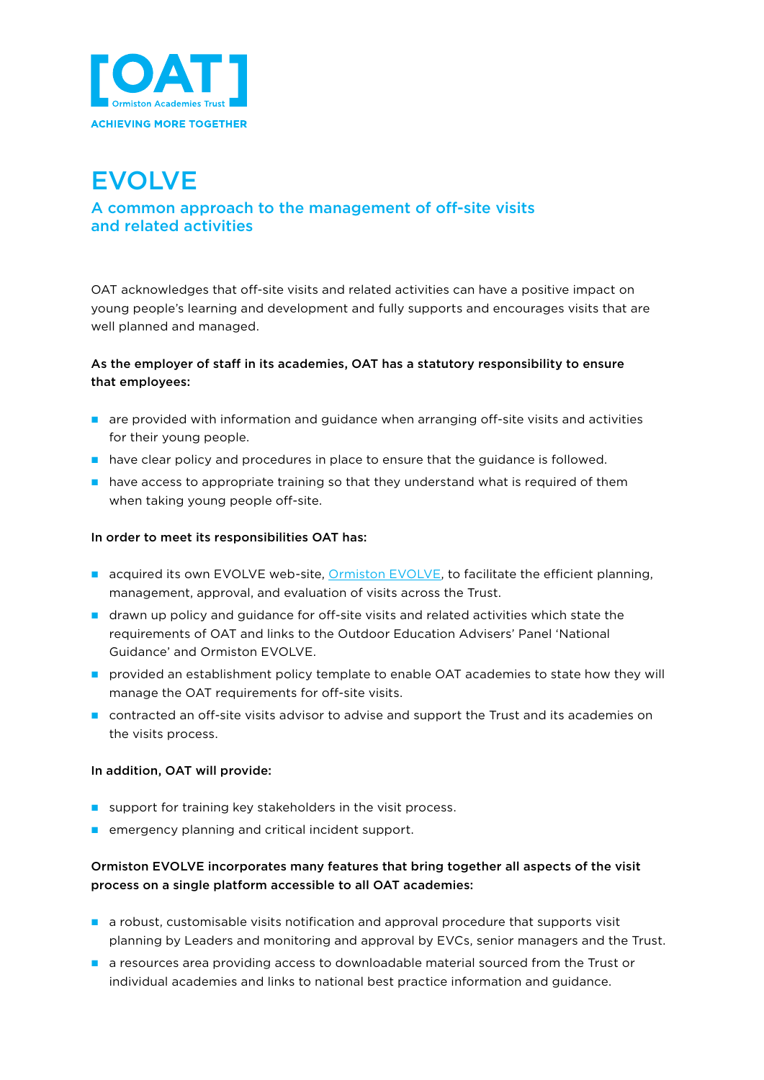

# EVOLVE

# A common approach to the management of off-site visits and related activities

OAT acknowledges that off-site visits and related activities can have a positive impact on young people's learning and development and fully supports and encourages visits that are well planned and managed.

## As the employer of staff in its academies, OAT has a statutory responsibility to ensure that employees:

- $\blacksquare$  are provided with information and guidance when arranging off-site visits and activities for their young people.
- $\blacksquare$  have clear policy and procedures in place to ensure that the guidance is followed.
- $\blacksquare$  have access to appropriate training so that they understand what is required of them when taking young people off-site.

#### In order to meet its responsibilities OAT has:

- **n** acquired its own EVOLVE web-site, **Ormiston EVOLVE**, to facilitate the efficient planning, management, approval, and evaluation of visits across the Trust.
- n drawn up policy and guidance for off-site visits and related activities which state the requirements of OAT and links to the Outdoor Education Advisers' Panel 'National Guidance' and Ormiston EVOLVE.
- n provided an establishment policy template to enable OAT academies to state how they will manage the OAT requirements for off-site visits.
- n contracted an off-site visits advisor to advise and support the Trust and its academies on the visits process.

#### In addition, OAT will provide:

- support for training key stakeholders in the visit process.
- $\blacksquare$  emergency planning and critical incident support.

### Ormiston EVOLVE incorporates many features that bring together all aspects of the visit process on a single platform accessible to all OAT academies:

- $\blacksquare$  a robust, customisable visits notification and approval procedure that supports visit planning by Leaders and monitoring and approval by EVCs, senior managers and the Trust.
- n a resources area providing access to downloadable material sourced from the Trust or individual academies and links to national best practice information and guidance.